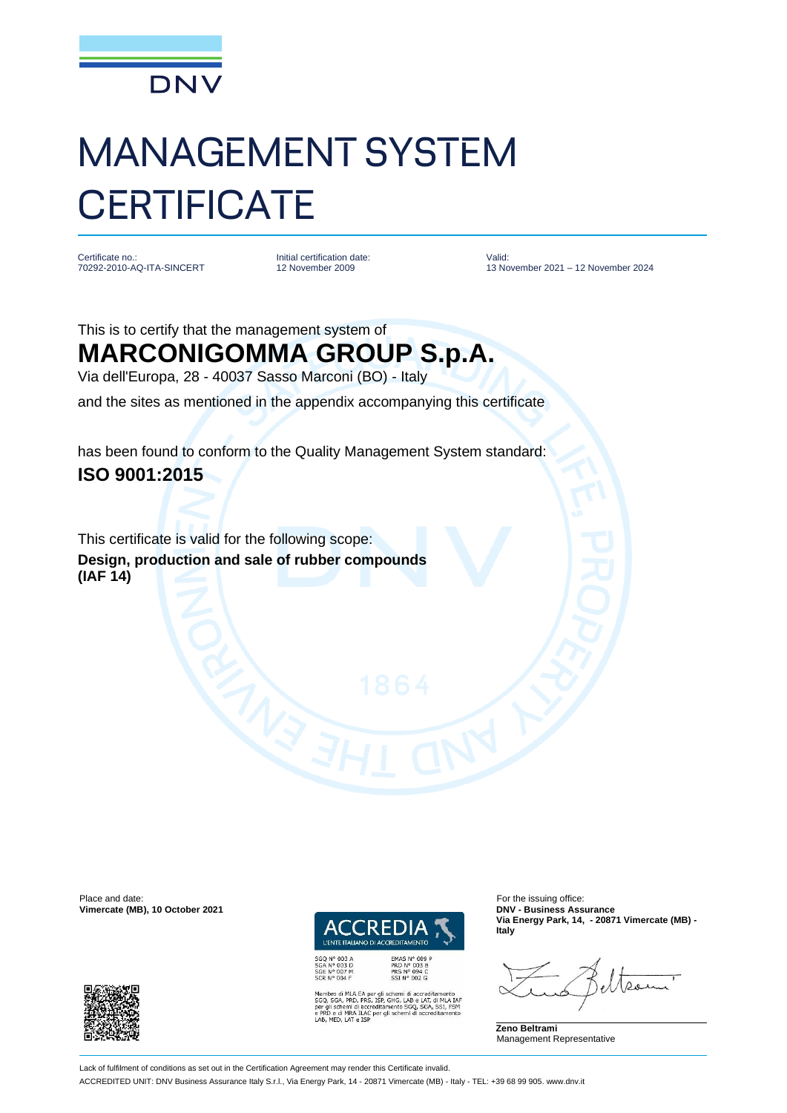

## MANAGEMENT SYSTEM **CERTIFICATE**

Certificate no. 70292-2010-AQ-ITA-SINCERT Initial certification date: 12 November 2009

Valid: 13 November 2021 – 12 November 2024

## This is to certify that the management system of **MARCONIGOMMA GROUP S.p.A.**

Via dell'Europa, 28 - 40037 Sasso Marconi (BO) - Italy

and the sites as mentioned in the appendix accompanying this certificate

has been found to conform to the Quality Management System standard: **ISO 9001:2015**

This certificate is valid for the following scope: **Design, production and sale of rubber compounds (IAF 14)**

Place and date: For the issuing office:<br> **Place and date:** For the issuing office:<br> **Place and date:** For the issuing office:<br> **PRICE 2021 Vimercate (MB), 10 October 2021** 



SGQ N° 003 A<br>SGA N° 003 D<br>SGE N° 007 M<br>SCR N° 004 F

EA per gli schemi di accreditamento<br>, PRS, ISP, GHG, LAB e LAT, di MLA IAI<br>li accreditamento SGQ, SGA, SSI, FSM<br>ILAC per gli schemi di accreditamento ILAC per gli schemi di ac

**Via Energy Park, 14, - 20871 Vimercate (MB) - Italy**

**Zeno Beltrami** Management Representative



Lack of fulfilment of conditions as set out in the Certification Agreement may render this Certificate invalid.

ACCREDITED UNIT: DNV Business Assurance Italy S.r.l., Via Energy Park, 14 - 20871 Vimercate (MB) - Italy - TEL: +39 68 99 905. www.dnv.it